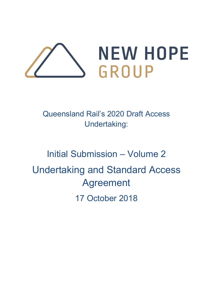

Queensland Rail's 2020 Draft Access Undertaking:

# Initial Submission – Volume 2 Undertaking and Standard Access Agreement 17 October 2018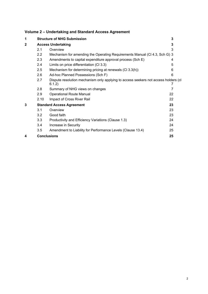# **Volume 2 – Undertaking and Standard Access Agreement**

| 1            |                  | 3<br><b>Structure of NHG Submission</b>                                                       |    |  |  |  |
|--------------|------------------|-----------------------------------------------------------------------------------------------|----|--|--|--|
| $\mathbf{2}$ |                  | <b>Access Undertaking</b>                                                                     |    |  |  |  |
|              | 2.1              | Overview                                                                                      | 3  |  |  |  |
|              | $2.2\phantom{0}$ | Mechanism for amending the Operating Requirements Manual (CI 4.3, Sch G) 3                    |    |  |  |  |
|              | 2.3              | Amendments to capital expenditure approval process (Sch E)                                    | 4  |  |  |  |
|              | 2.4              | Limits on price differentiation (CI 3.3)                                                      | 5  |  |  |  |
|              | 2.5              | Mechanism for determining pricing at renewals (CI 3.3(h))                                     | 6  |  |  |  |
|              | 2.6              | Ad-hoc Planned Possessions (Sch F)                                                            | 6  |  |  |  |
|              | 2.7              | Dispute resolution mechanism only applying to access seekers not access holders (cl<br>6.1.2) |    |  |  |  |
|              | 2.8              | Summary of NHG views on changes                                                               | 7  |  |  |  |
|              | 2.9              | <b>Operational Route Manual</b>                                                               | 22 |  |  |  |
|              | 2.10             | Impact of Cross River Rail                                                                    | 22 |  |  |  |
| 3            |                  | <b>Standard Access Agreement</b>                                                              | 23 |  |  |  |
|              | 3.1              | Overview                                                                                      | 23 |  |  |  |
|              | 3.2              | Good faith                                                                                    | 23 |  |  |  |
|              | 3.3              | Productivity and Efficiency Variations (Clause 1.3)                                           | 24 |  |  |  |
|              | 3.4              | Increase in Security                                                                          | 24 |  |  |  |
|              | 3.5              | Amendment to Liability for Performance Levels (Clause 13.4)                                   | 25 |  |  |  |
| 4            |                  | <b>Conclusions</b>                                                                            | 25 |  |  |  |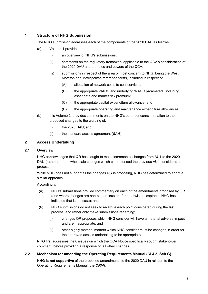# **1 Structure of NHG Submission**

The NHG submission addresses each of the components of the 2020 DAU as follows:

- (a) Volume 1 provides:
	- (i) an overview of NHG's submissions;
	- (ii) comments on the regulatory framework applicable to the QCA's consideration of the 2020 DAU and the roles and powers of the QCA;
	- (iii) submissions in respect of the area of most concern to NHG, being the West Moreton and Metropolitan reference tariffs, including in respect of:
		- (A) allocation of network costs to coal services;
		- (B) the appropriate WACC and underlying WACC parameters, including asset beta and market risk premium;
		- (C) the appropriate capital expenditure allowance; and
		- (D) the appropriate operating and maintenance expenditure allowances.
- (b) this Volume 2, provides comments on the NHG's other concerns in relation to the proposed changes to the wording of:
	- (i) the 2020 DAU; and
	- (ii) the standard access agreement (*SAA*).

#### **2 Access Undertaking**

#### **2.1 Overview**

NHG acknowledges that QR has sought to make incremental changes from AU1 to the 2020 DAU (rather than the wholesale changes which characterised the previous AU1 consideration process).

While NHG does not support all the changes QR is proposing, NHG has determined to adopt a similar approach.

Accordingly:

- (a) NHG's submissions provide commentary on each of the amendments proposed by QR (and where changes are non-contentious and/or otherwise acceptable, NHG has indicated that is the case); and
- (b) NHG submissions do not seek to re-argue each point considered during the last process, and rather only make submissions regarding:
	- (i) changes QR proposes which NHG consider will have a material adverse impact and are inappropriate; and
	- (ii) other highly material matters which NHG consider must be changed in order for the approved access undertaking to be appropriate.

NHG first addresses the 6 issues on which the QCA Notice specifically sought stakeholder comment, before providing a response on all other changes.

# **2.2 Mechanism for amending the Operating Requirements Manual (Cl 4.3, Sch G)**

**NHG is not supportive** of the proposed amendments to the 2020 DAU in relation to the Operating Requirements Manual (the *ORM*).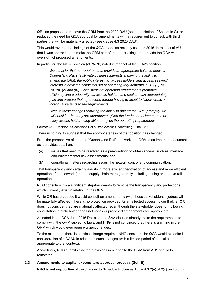QR has proposed to remove the ORM from the 2020 DAU (see the deletion of Schedule G), and replaced the need for QCA approval for amendments with a requirement to consult with third parties that will be materially affected (see clause 4.3 2020 DAU).

This would reverse the findings of the QCA, made as recently as June 2016, in respect of AU1 that it was appropriate to make the ORM part of the undertaking, and provide the QCA with oversight of proposed amendments.

In particular, the QCA Decision (at 75-76) noted in respect of the QCA's position:

*We consider that our requirements provide an appropriate balance between Queensland Rail's legitimate business interests in having the ability to amend the ORM, the public interest, an access holders' and access seekers' interests in having a consistent set of operating requirements (s. 138(2)(a), (b), (d), (e) and (h)). Consistency of operating requirements promotes efficiency and productivity, as access holders and seekers can appropriately plan and prepare their operations without having to adapt to idiosyncratic or individual variants to the requirements.* 

*Despite these changes reducing the ability to amend the ORM promptly, we still consider that they are appropriate, given the fundamental importance of every access holder being able to rely on the operating requirements.* 

Source: QCA Decision, Queensland Rail's Draft Access Undertaking, June 2016

There is nothing to suggest that the appropriateness of that position has changed.

From the perspective of a user of Queensland Rail's network, the ORM is an important document, as it provides detail on:

- (a) issues that need to be resolved as a pre-condition to obtain access, such as interface and environmental risk assessments; and
- (b) operational matters regarding issues like network control and communication.

That transparency and certainty assists in more efficient negotiation of access and more efficient operation of the network (and the supply chain more generally including mining and above rail operations).

NHG considers it is a significant step-backwards to remove the transparency and protections which currently exist in relation to the ORM.

While QR has proposed it would consult on amendments (with those stakeholders it judges will be materially affected), there is no protection provided for an affected access holder if either QR does not consider they are materially affected (even though the stakeholder does) or, following consultation, a stakeholder does not consider proposed amendments are appropriate.

As noted in the QCA June 2016 Decision, the SAA clauses already make the requirements to comply with the ORM subject to laws, and NHG is not convinced that there is anything in the ORM which would ever require urgent changes.

To the extent that there is a critical change required, NHG considers the QCA would expedite its consideration of a DAAU in relation to such changes (with a limited period of consultation appropriate to that context).

Accordingly, NHG submits that the provisions in relation to the ORM from AU1 should be reinstated.

# **2.3 Amendments to capital expenditure approval process (Sch E)**

**NHG is not supportive** of the changes to Schedule E clauses 1.5 and 3.2(e), 4.2(c) and 5.3(c).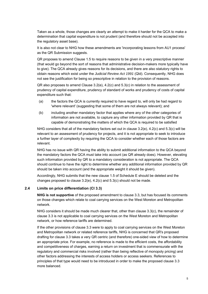Taken as a whole, those changes are clearly an attempt to make it harder for the QCA to make a determination that capital expenditure is not prudent (and therefore should not be accepted into the regulatory asset base).

It is also not clear to NHG how these amendments are 'incorporating lessons from AU1 process' as the QR Submission suggests.

QR proposes to amend Clause 1.5 to require reasons to be given in a very prescriptive manner (that would go beyond the sort of reasons that administrative decision-makers more typically have to give). The QCA already gives reasons for its decisions, and there are also statutory rights to obtain reasons which exist under the *Judicial Review Act 1991* (Qld). Consequently, NHG does not see the justification for being so prescriptive in relation to the provision of reasons.

QR also proposes to amend Clause 3.2(e), 4.2(c) and 5.3(c) in relation to the assessment of prudency of capital expenditure, prudency of standard of works and prudency of costs of capital expenditure such that:

- (a) the factors the QCA is currently required to have regard to, will only be had regard to 'where relevant' (suggesting that some of them are not always relevant); and
- (b) including another mandatory factor that applies where any of the other categories of information are not available, to capture any other information provided by QR that is capable of demonstrating the matters of which the QCA is required to be satisfied

NHG considers that all of the mandatory factors set out in clause 3.2(e), 4.2(c) and 5.3(c) will be relevant to an assessment of prudency for projects, and it is not appropriate to seek to introduce a further layer of complexity by requiring the QCA to consider whether each of those factors are relevant.

NHG has no issue with QR having the ability to submit additional information to the QCA beyond the mandatory factors the QCA must take into account (as QR already does). However, elevating such information provided by QR to a mandatory consideration is not appropriate. The QCA should continue to have the right to determine whether any additional information provided by QR should be taken into account (and the appropriate weight it should be given).

Accordingly, NHG submits that the new clause 1.5 of Schedule E should be deleted and the changes proposed to clause 3.2(e), 4.2(c) and 5.3(c) should not be made.

# **2.4 Limits on price differentiation (Cl 3.3)**

**NHG is not supportive** of the proposed amendment to clause 3.3, but has focused its comments on those changes which relate to coal carrying services on the West Moreton and Metropolitan network.

NHG considers it should be made much clearer that, other than clause 3.3(c), the remainder of clause 3.3 is not applicable to coal carrying services on the West Moreton and Metropolitan network, or how reference tariffs are determined.

If the other provisions of clause 3.3 were to apply to coal carrying services on the West Moreton and Metropolitan network or related reference tariffs, NHG is concerned that QR's proposed drafting for clause 3.3 takes a very QR centric (and therefore) one-sided view of how to determine an appropriate price. For example, no reference is made to the efficient costs, the affordability and competitiveness of charges, earning a return on investment that is commensurate with the regulatory and commercial risks involved (rather than being reflective of monopoly pricing) and other factors addressing the interests of access holders or access seekers. References to principles of that type would need to be introduced in order to make the proposed clause 3.3 more balanced.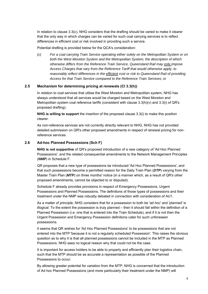In relation to clause 3.3(c), NHG considers that the drafting should be varied to make it clearer that the only way in which charges can be varied for such coal carrying services is to reflect differences in efficient cost or risk involved in providing such a service.

Potential drafting is provided below for the QCA's consideration:

*(c) For a coal carrying Train Service operating either solely on the Metropolitan System or on both the West Moreton System and the Metropolitan System, the description of which otherwise differs from the Reference Train Service, Queensland Rail may only impose Access Charges that vary from the Reference Tariff that would otherwise apply, to reasonably reflect differences in the efficient cost or risk to Queensland Rail of providing Access for that Train Service compared to the Reference Train Services; or* 

#### **2.5 Mechanism for determining pricing at renewals (Cl 3.3(h))**

In relation to coal services that utilise the West Moreton and Metropolitan system, NHG has always understood that all services would be charged based on the West Moreton and Metropolitan system coal reference tariffs (consistent with clause  $3.3(h)(v)$  and  $3.3(i)$  of QR's proposed drafting).

**NHG is willing to support** the insertion of the proposed clause 3.3(i) to make this position clearer.

As non-reference services are not currently directly relevant to NHG, NHG has not provided detailed submission on QR's other proposed amendments in respect of renewal pricing for nonreference services.

#### **2.6 Ad-hoc Planned Possessions (Sch F)**

**NHG is not supportive** of QR's proposed introduction of a new category of 'Ad Hoc Planned Possessions', and the related consequential amendments to the Network Management Principles (*NMP*) in Schedule F.

QR proposes that a new type of possessions be introduced 'Ad Hoc Planned Possessions', and that such possessions become a permitted reason for the Daily Train Plan (*DTP*) varying from the Master Train Plan (*MTP*) on three months' notice (in a manner which, as a result of QR's other proposed amendments, cannot be objected to or disputed).

Schedule F already provides provisions in respect of Emergency Possessions, Urgent Possessions and Planned Possessions. The definitions of those types of possessions and their treatment under the NMP was robustly debated in connection with consideration of AU1.

As a matter of principle, NHG considers that for a possession to both be 'ad hoc' and 'planned' is illogical. To the extent the possession is truly planned – then it should fall within the definition of a Planned Possession (i.e. one that is entered into the Train Schedule), and if it is not then the Urgent Possession and Emergency Possession definitions cater for such unforeseen possessions.

It seems that QR wishes for 'Ad Hoc Planned Possessions' to be possessions that are not entered into the MTP 'because it is not a regularly scheduled Possession'. This raises the obvious question as to why it is that all planned possessions cannot be included in the MTP as Planned Possessions. NHG sees no logical reason why that could not be the case.

It is important for access holders to be able to properly and efficiently plan their logistics chain, such that the MTP should be as accurate a representation as possible of the Planned Possessions to occur.

By allowing greater potential for variation from the MTP, NHG is concerned that the introduction of Ad hoc Planned Possessions (and more particularly their treatment under the NMP) will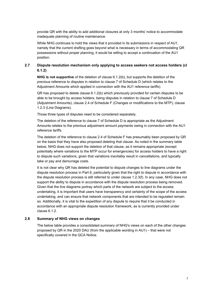provide QR with the ability to add additional closures at only 3 months' notice to accommodate inadequate planning of routine maintenance.

While NHG continues to hold the views that it provided in its submissions in respect of AU1, namely that the current drafting goes beyond what is necessary in terms of accommodating QR possessions without proper planning, it would be willing to accept a continuation of the AU1 position.

# **2.7 Dispute resolution mechanism only applying to access seekers not access holders (cl 6.1.2)**

**NHG is not supportive** of the deletion of clause 6.1.2(b), but supports the deletion of the previous reference to disputes in relation to clause 7 of Schedule D (which relates to the Adjustment Amounts which applied in connection with the AU1 reference tariffs).

QR has proposed to delete clause 6.1.2(b) which previously provided for certain disputes to be able to be brought by access holders, being disputes in relation to clause 7 of Schedule D (Adjustment Amounts), clause 2.4 of Schedule F (Changes or modifications to the MTP), clause 1.2.3 (Line Diagrams).

Those three types of disputes need to be considered separately.

The deletion of the reference to clause 7 of Schedule D is appropriate as the Adjustment Amounts relates to the previous adjustment amount payments owing in connection with the AU1 reference tariffs.

The deletion of the reference to clause 2.4 of Schedule F has presumably been proposed by QR on the basis that they have also proposed deleting that clause. As noted in the summary table below, NHG does not support the deletion of that clause, as it remains appropriate (except potentially where variations to the MTP occur for emergencies) for access holders to have a right to dispute such variations, given that variations inevitably result in cancellations, and typically take or pay and demurrage costs.

It is not clear why QR has deleted the potential to dispute changes to line diagrams under the dispute resolution process in Part 6, particularly given that the right to dispute in accordance with the dispute resolution process is still referred to under clause 1.2.3(f). In any case, NHG does not support the ability to dispute in accordance with the dispute resolution process being removed. Given that the line diagrams portray which parts of the network are subject to the access undertaking, it is important that users have transparency and certainty of the scope of the access undertaking, and can ensure that network components that are intended to be regulated remain so. Additionally, it is vital to the expedition of any dispute to require that it be conducted in accordance with an appropriate dispute resolution framework, as is currently provided under clause 6.1.2.

# **2.8 Summary of NHG views on changes**

The below table provides a consolidated summary of NHG's views on each of the other changes proposed by QR in the 2020 DAU (from the applicable wording in AU1) – that were not specifically covered in the QCA Notice.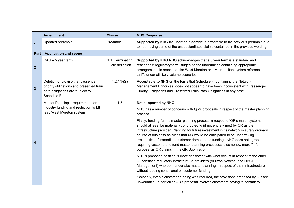|                | <b>Amendment</b>                                                                                                                  | <b>Clause</b>                       | <b>NHG Response</b>                                                                                                                                                                                                                                                                                                                                                                                                                                                                                                                                                  |
|----------------|-----------------------------------------------------------------------------------------------------------------------------------|-------------------------------------|----------------------------------------------------------------------------------------------------------------------------------------------------------------------------------------------------------------------------------------------------------------------------------------------------------------------------------------------------------------------------------------------------------------------------------------------------------------------------------------------------------------------------------------------------------------------|
| $\mathbf{1}$   | Updated preamble                                                                                                                  | Preamble                            | Supported by NHG the updated preamble is preferable to the previous preamble due<br>to not making some of the unsubstantiated claims contained in the previous wording.                                                                                                                                                                                                                                                                                                                                                                                              |
|                | <b>Part 1 Application and scope</b>                                                                                               |                                     |                                                                                                                                                                                                                                                                                                                                                                                                                                                                                                                                                                      |
| $\overline{2}$ | $DAU - 5$ year term                                                                                                               | 1.1, Terminating<br>Date definition | Supported by NHG NHG acknowledges that a 5 year term is a standard and<br>reasonable regulatory term, subject to the undertaking containing appropriate<br>arrangements in respect of the West Moreton and Metropolitan system reference<br>tariffs under all likely volume scenarios.                                                                                                                                                                                                                                                                               |
| $\mathbf{3}$   | Deletion of proviso that passenger<br>priority obligations and preserved train<br>path obligations are 'subject to<br>Schedule F' | 1.2.1(b)(ii)                        | Acceptable to NHG on the basis that Schedule F (containing the Network<br>Management Principles) does not appear to have been inconsistent with Passenger<br>Priority Obligations and Preserved Train Path Obligations in any case.                                                                                                                                                                                                                                                                                                                                  |
|                | Master Planning - requirement for<br>industry funding and restriction to Mt<br>Isa / West Moreton system                          | 1.5                                 | Not supported by NHG.                                                                                                                                                                                                                                                                                                                                                                                                                                                                                                                                                |
|                |                                                                                                                                   |                                     | NHG has a number of concerns with QR's proposals in respect of the master planning<br>process.                                                                                                                                                                                                                                                                                                                                                                                                                                                                       |
|                |                                                                                                                                   |                                     | Firstly, funding for the master planning process in respect of QR's major systems<br>should at least be materially contributed to (if not entirely met) by QR as the<br>infrastructure provider. Planning for future investment in its network is surely ordinary<br>course of business activities that QR would be anticipated to be undertaking<br>irrespective of immediate customer demand and funding. NHG does not agree that<br>requiring customers to fund master planning processes is somehow more 'fit for<br>purpose' as QR claims in the QR Submission. |
|                |                                                                                                                                   |                                     | NHG's proposed position is more consistent with what occurs in respect of the other<br>Queensland regulatory infrastructure providers (Aurizon Network and DBCT<br>Management) who both undertake master planning in respect of their infrastructure<br>without it being conditional on customer funding.                                                                                                                                                                                                                                                            |
|                |                                                                                                                                   |                                     | Secondly, even if customer funding was required, the provisions proposed by QR are<br>unworkable. In particular QR's proposal involves customers having to commit to                                                                                                                                                                                                                                                                                                                                                                                                 |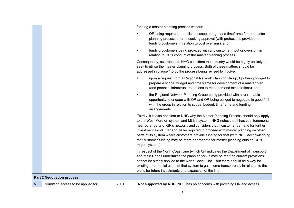|   |                                     |       | funding a master planning process without:                                                                                                                                                                                                                                                                                                                                                                                                                                                                                                            |
|---|-------------------------------------|-------|-------------------------------------------------------------------------------------------------------------------------------------------------------------------------------------------------------------------------------------------------------------------------------------------------------------------------------------------------------------------------------------------------------------------------------------------------------------------------------------------------------------------------------------------------------|
|   |                                     |       | QR being required to publish a scope, budget and timeframe for the master<br>$\bullet$<br>planning process prior to seeking approval (with protections provided to<br>funding customers in relation to cost overruns); and                                                                                                                                                                                                                                                                                                                            |
|   |                                     |       | funding customers being provided with any customer input or oversight in<br>relation to QR's conduct of the master planning process.                                                                                                                                                                                                                                                                                                                                                                                                                  |
|   |                                     |       | Consequently, as proposed, NHG considers that industry would be highly unlikely to<br>seek to utilise the master planning process. Both of these matters should be<br>addressed in clause 1.5 by the process being revised to involve:                                                                                                                                                                                                                                                                                                                |
|   |                                     |       | upon a request from a Regional Network Planning Group, QR being obliged to<br>prepare a scope, budget and time frame for development of a master plan<br>(and potential infrastructure options to meet demand expectations); and                                                                                                                                                                                                                                                                                                                      |
|   |                                     |       | the Regional Network Planning Group being provided with a reasonable<br>$\bullet$<br>opportunity to engage with QR and QR being obliged to negotiate in good faith<br>with the group in relation to scope, budget, timeframe and funding<br>arrangements.                                                                                                                                                                                                                                                                                             |
|   |                                     |       | Thirdly, it is also not clear to NHG why the Master Planning Process should only apply<br>to the West Moreton system and Mt Isa system. NHG notes that it has coal tenements<br>near other parts of QR's network, and considers that if customer demand for further<br>investment exists, QR should be required to proceed with master planning on other<br>parts of its system where customers provide funding for that (with NHG acknowledging<br>that customer funding may be more appropriate for master planning outside QR's<br>major systems). |
|   |                                     |       | In respect of the North Coast Line (which QR indicates the Department of Transport<br>and Main Roads undertakes the planning for), it may be that the current provisions<br>cannot be simply applied to the North Coast Line - but there should be a way for<br>existing or potential users of that system to gain some transparency in relation to the<br>plans for future investments and expansion of the line.                                                                                                                                    |
|   | <b>Part 2 Negotiation process</b>   |       |                                                                                                                                                                                                                                                                                                                                                                                                                                                                                                                                                       |
| 5 | Permitting access to be applied for | 2.1.1 | Not supported by NHG. NHG has no concerns with providing QR and access                                                                                                                                                                                                                                                                                                                                                                                                                                                                                |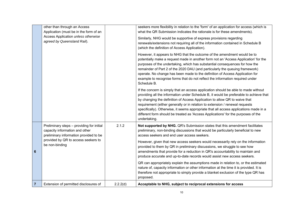|                | other than through an Access<br>Application (must be in the form of an                                                |          | seekers more flexibility in relation to the 'form' of an application for access (which is<br>what the QR Submission indicates the rationale is for these amendments).                                                                                                                                                                                                                                                                                                                                                                    |
|----------------|-----------------------------------------------------------------------------------------------------------------------|----------|------------------------------------------------------------------------------------------------------------------------------------------------------------------------------------------------------------------------------------------------------------------------------------------------------------------------------------------------------------------------------------------------------------------------------------------------------------------------------------------------------------------------------------------|
|                | Access Application unless otherwise<br>agreed by Queensland Rail).                                                    |          | Similarly, NHG would be supportive of express provisions regarding<br>renewals/extensions not requiring all of the information contained in Schedule B<br>(which the definition of Access Application).                                                                                                                                                                                                                                                                                                                                  |
|                |                                                                                                                       |          | However, it appears to NHG that the outcome of the amendment would be to<br>potentially make a request made in another form not an 'Access Application' for the<br>purposes of the undertaking, which has substantial consequences for how the<br>remainder of Part 2 of the 2020 DAU (and particularly the queuing framework)<br>operate. No change has been made to the definition of Access Application for<br>example to recognise forms that do not reflect the information required under<br>Schedule B.                           |
|                |                                                                                                                       |          | If the concern is simply that an access application should be able to made without<br>providing all the information under Schedule B, it would be preferable to achieve that<br>by changing the definition of Access Application to allow QR to waive that<br>requirement (either generally or in relation to extension / renewal requests<br>specifically). Otherwise, it seems appropriate that all access applications made in a<br>different form should be treated as 'Access Applications' for the purposes of the<br>undertaking. |
|                | Preliminary steps - providing for initial<br>capacity information and other<br>preliminary information provided to be | 2.1.2    | Not supported by NHG. QR's Submission states that this amendment facilitates<br>preliminary, non-binding discussions that would be particularly beneficial to new<br>access seekers and end user access seekers.                                                                                                                                                                                                                                                                                                                         |
| 6              | provided by QR to access seekers to<br>be non-binding                                                                 |          | However, given that new access seekers would necessarily rely on the information<br>provided to them by QR in preliminary discussions, we struggle to see how<br>amendments that provide for a reduction in QR's accountability to maintain and<br>produce accurate and up-to-date records would assist new access seekers.                                                                                                                                                                                                              |
|                |                                                                                                                       |          | QR can appropriately explain the assumptions made in relation to, or the estimated<br>nature of, capacity information or other information at the time it is provided. It is<br>therefore not appropriate to simply provide a blanket exclusion of the type QR has<br>proposed.                                                                                                                                                                                                                                                          |
| $\overline{7}$ | Extension of permitted disclosures of                                                                                 | 2.2.2(d) | Acceptable to NHG, subject to reciprocal extensions for access                                                                                                                                                                                                                                                                                                                                                                                                                                                                           |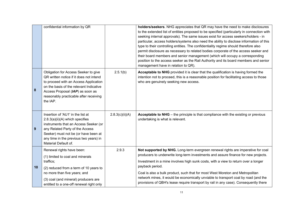|    | confidential information by QR                                                                                                                                                                                                                                |                 | holders/seekers. NHG appreciates that QR may have the need to make disclosures<br>to the extended list of entities proposed to be specified (particularly in connection with<br>seeking internal approvals). The same issues exist for access seekers/holders - in<br>particular, access holders/systems also need the ability to disclose information of this<br>type to their controlling entities. The confidentiality regime should therefore also<br>permit disclosure as necessary to related bodies corporate of the access seeker and<br>their board members and senior management (which will occupy a corresponding<br>position to the access seeker as the Rail Authority and its board members and senior<br>management have in relation to QR). |
|----|---------------------------------------------------------------------------------------------------------------------------------------------------------------------------------------------------------------------------------------------------------------|-----------------|--------------------------------------------------------------------------------------------------------------------------------------------------------------------------------------------------------------------------------------------------------------------------------------------------------------------------------------------------------------------------------------------------------------------------------------------------------------------------------------------------------------------------------------------------------------------------------------------------------------------------------------------------------------------------------------------------------------------------------------------------------------|
| 8  | Obligation for Access Seeker to give<br>QR written notice if it does not intend<br>to proceed with an Access Application<br>on the basis of the relevant Indicative<br>Access Proposal (IAP) as soon as<br>reasonably practicable after receiving<br>the IAP. | 2.5.1(b)        | Acceptable to NHG provided it is clear that the qualification is having formed the<br>intention not to proceed, this is a reasonable position for facilitating access to those<br>who are genuinely seeking new access.                                                                                                                                                                                                                                                                                                                                                                                                                                                                                                                                      |
| 9  | Insertion of 'AU1' in the list at<br>2.8.3(a)(ii)(A) which specifies<br>instruments that an Access Seeker (or<br>any Related Party of the Access<br>Seeker) must not be (or have been at<br>any time in the previous two years) in<br>Material Default of.    | 2.8.3(c)(ii)(A) | <b>Acceptable to NHG</b> – the principle is that compliance with the existing or previous<br>undertaking is what is relevant.                                                                                                                                                                                                                                                                                                                                                                                                                                                                                                                                                                                                                                |
| 10 | Renewal rights have been:<br>(1) limited to coal and minerals<br>traffics;<br>(2) reduced from a term of 10 years to                                                                                                                                          | 2.9.3           | Not supported by NHG. Long-term evergreen renewal rights are imperative for coal<br>producers to underwrite long-term investments and assure finance for new projects.<br>Investment in a mine involves high sunk costs, with a view to return over a longer<br>payback period.                                                                                                                                                                                                                                                                                                                                                                                                                                                                              |
|    | no more than five years; and<br>(3) coal (and mineral) producers are<br>entitled to a one-off renewal right only                                                                                                                                              |                 | Coal is also a bulk product, such that for most West Moreton and Metropolitan<br>network mines, it would be economically unviable to transport coal by road (and the<br>provisions of QBH's lease require transport by rail in any case). Consequently there                                                                                                                                                                                                                                                                                                                                                                                                                                                                                                 |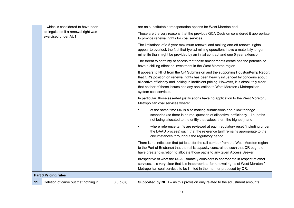|    | - which is considered to have been                          |             | are no substitutable transportation options for West Moreton coal.                                                                                                                                                                                                                                                                                                            |
|----|-------------------------------------------------------------|-------------|-------------------------------------------------------------------------------------------------------------------------------------------------------------------------------------------------------------------------------------------------------------------------------------------------------------------------------------------------------------------------------|
|    | extinguished if a renewal right was<br>exercised under AU1. |             | Those are the very reasons that the previous QCA Decision considered it appropriate<br>to provide renewal rights for coal services.                                                                                                                                                                                                                                           |
|    |                                                             |             | The limitations of a 5 year maximum renewal and making one-off renewal rights<br>appear to overlook the fact that typical mining operations have a materially longer<br>mine life than might be provided by an initial contract and one 5 year extension.                                                                                                                     |
|    |                                                             |             | The threat to certainty of access that these amendments create has the potential to<br>have a chilling effect on investment in the West Moreton region.                                                                                                                                                                                                                       |
|    |                                                             |             | It appears to NHG from the QR Submission and the supporting HoustonKemp Report<br>that QR's position on renewal rights has been heavily influenced by concerns about<br>allocative efficiency and locking in inefficient pricing. However, it is absolutely clear<br>that neither of those issues has any application to West Moreton / Metropolitan<br>system coal services. |
|    |                                                             |             | In particular, those asserted justifications have no application to the West Moreton /<br>Metropolitan coal services where:                                                                                                                                                                                                                                                   |
|    |                                                             |             | at the same time QR is also making submissions about low tonnage<br>٠<br>scenarios (so there is no real question of allocative inefficiency - i.e. paths<br>not being allocated to the entity that values them the highest); and                                                                                                                                              |
|    |                                                             |             | where reference tariffs are reviewed at each regulatory reset (including under<br>$\bullet$<br>the DAAU process) such that the reference tariff remains appropriate to the<br>circumstances throughout the regulatory period.                                                                                                                                                 |
|    |                                                             |             | There is no indication that (at least for the rail corridor from the West Moreton region<br>to the Port of Brisbane) that the rail is capacity constrained such that QR ought to<br>have greater discretion to allocate those paths to any given Access Seeker.                                                                                                               |
|    |                                                             |             | Irrespective of what the QCA ultimately considers is appropriate in respect of other<br>services, it is very clear that it is inappropriate for renewal rights of West Moreton /<br>Metropolitan coal services to be limited in the manner proposed by QR.                                                                                                                    |
|    | <b>Part 3 Pricing rules</b>                                 |             |                                                                                                                                                                                                                                                                                                                                                                               |
| 11 | Deletion of carve out that nothing in                       | 3.0(c)(iii) | <b>Supported by NHG</b> – as this provision only related to the adjustment amounts                                                                                                                                                                                                                                                                                            |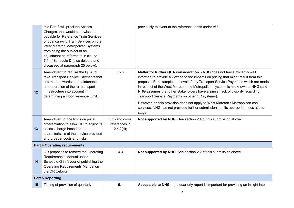|    | this Part 3 will preclude Access<br>Charges, that would otherwise be<br>payable for Reference Train Services<br>or coal carrying Train Services on the<br>West Moreton/Metropolitan Systems<br>from being the subject of an<br>adjustment as referred to in clause<br>7.1 of Schedule D (also deleted and<br>discussed at paragraph 25 below). |                                             | previously relevant to the reference tariffs under AU1.                                                                                                                                                                                                                                                                                                                                                                                                                                                                                                                                                                                                           |
|----|------------------------------------------------------------------------------------------------------------------------------------------------------------------------------------------------------------------------------------------------------------------------------------------------------------------------------------------------|---------------------------------------------|-------------------------------------------------------------------------------------------------------------------------------------------------------------------------------------------------------------------------------------------------------------------------------------------------------------------------------------------------------------------------------------------------------------------------------------------------------------------------------------------------------------------------------------------------------------------------------------------------------------------------------------------------------------------|
| 12 | Amendment to require the QCA to<br>take Transport Service Payments that<br>are made towards the maintenance<br>and operation of the rail transport<br>infrastructure into account in<br>determining a Floor Revenue Limit.                                                                                                                     | 3.2.2                                       | Matter for further QCA consideration - NHG does not feel sufficiently well<br>informed to provide a view as to the impacts on pricing that might result from this<br>proposal. For example, the level of any Transport Service Payments which are made<br>in respect of the West Moreton and Metropolitan systems is not known to NHG (and<br>NHG assumes that other stakeholders have a similar lack of visibility regarding<br>Transport Service Payments on other QR systems).<br>However, as this provision does not apply to West Moreton / Metropolitan coal<br>services, NHG has not provided further submissions on its appropriateness at this<br>stage. |
| 13 | Amendment of the limits on price<br>differentiation to allow QR to adjust its<br>access charge based on the<br>characteristics of the service provided<br>and broader costs and risks.                                                                                                                                                         | 3.3 (and cross<br>references in<br>2.4.2(d) | Not supported by NHG. See section 2.4 of this submission above.                                                                                                                                                                                                                                                                                                                                                                                                                                                                                                                                                                                                   |
|    | <b>Part 4 Operating requirements</b>                                                                                                                                                                                                                                                                                                           |                                             |                                                                                                                                                                                                                                                                                                                                                                                                                                                                                                                                                                                                                                                                   |
| 14 | QR proposes to remove the Operating<br>Requirements Manual under<br>Schedule G in favour of publishing the<br>Operating Requirements Manual on<br>the QR website.                                                                                                                                                                              | 4.3                                         | Not supported by NHG. See section 2.2 of this submission above.                                                                                                                                                                                                                                                                                                                                                                                                                                                                                                                                                                                                   |
|    | <b>Part 5 Reporting</b>                                                                                                                                                                                                                                                                                                                        |                                             |                                                                                                                                                                                                                                                                                                                                                                                                                                                                                                                                                                                                                                                                   |
| 15 | Timing of provision of quarterly                                                                                                                                                                                                                                                                                                               | 5.1                                         | Acceptable to NHG - the quarterly report is important for providing an insight into                                                                                                                                                                                                                                                                                                                                                                                                                                                                                                                                                                               |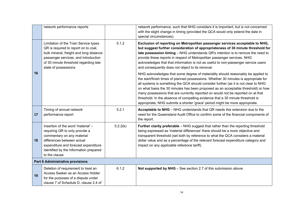|    | network performance reports                                                                                                                                                                                                         |          | network performance, such that NHG considers it is important, but is not concerned<br>with the slight change in timing (provided the QCA would only extend the date in<br>special circumstances).                                                                                                                                                                                                                                                                                                                                                                                                          |
|----|-------------------------------------------------------------------------------------------------------------------------------------------------------------------------------------------------------------------------------------|----------|------------------------------------------------------------------------------------------------------------------------------------------------------------------------------------------------------------------------------------------------------------------------------------------------------------------------------------------------------------------------------------------------------------------------------------------------------------------------------------------------------------------------------------------------------------------------------------------------------------|
|    | Limitation of the Train Service types<br>QR is required to report on to coal,<br>bulk mineral, freight and long distance<br>passenger services, and introduction<br>of 30 minute threshold regarding late<br>state of possessions   | 5.1.2    | Exclusion of reporting on Metropolitan passenger services acceptable to NHG,<br>but suggest further consideration of appropriateness of 30 minute threshold for<br>late possession timing - NHG understands QR's intention is to remove the need to<br>provide these reports in respect of Metropolitan passenger services. NHG<br>acknowledges that that information is not as useful to non-passenger service users<br>and consequently does not object to its removal.                                                                                                                                  |
| 16 |                                                                                                                                                                                                                                     |          | NHG acknowledges that some degree of materiality should reasonably be applied to<br>the start/finish times of planned possessions. Whether 30 minutes is appropriate for<br>all systems is something the QCA should consider further (as it is not clear to NHG<br>on what basis the 30 minutes has been proposed as an acceptable threshold) or how<br>many possessions that are currently reported on would not be reported on at that<br>threshold. In the absence of compelling evidence that a 30 minute threshold is<br>appropriate, NHG submits a shorter 'grace' period might be more appropriate. |
| 17 | Timing of annual network<br>performance report                                                                                                                                                                                      | 5.2.1    | Acceptable to NHG - NHG understands that QR needs this extension due to the<br>need for the Queensland Audit Office to confirm some of the financial components of<br>the report.                                                                                                                                                                                                                                                                                                                                                                                                                          |
| 18 | Insertion of the word 'material' -<br>requiring QR to only provide a<br>commentary on any material<br>differences between actual<br>expenditure and forecast expenditure<br>identified by the information prepared<br>to the clause | 5.2.2(k) | Further clarity preferable - NHG suggest that rather than the reporting threshold<br>being expressed as 'material differences' there should be a more objective and<br>transparent threshold (set both by reference to what the QCA considers a material<br>dollar value and as a percentage of the relevant forecast expenditure category and<br>impact on any applicable reference tariff).                                                                                                                                                                                                              |
|    | Part 6 Administrative provisions                                                                                                                                                                                                    |          |                                                                                                                                                                                                                                                                                                                                                                                                                                                                                                                                                                                                            |
| 19 | Deletion of requirement to treat an<br>Access Seeker as an Access Holder<br>for the purposes of a dispute under<br>clause 7 of Schedule D, clause 2.4 of                                                                            | 6.1.2    | Not supported by NHG - See section 2.7 of this submission above.                                                                                                                                                                                                                                                                                                                                                                                                                                                                                                                                           |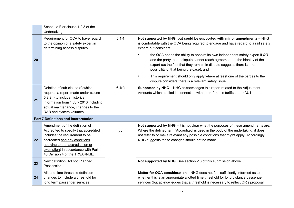|    | Schedule F or clause 1.2.3 of the<br>Undertaking.                                                                                                                                                                                                       |        |                                                                                                                                                                                                                                                                                                                      |
|----|---------------------------------------------------------------------------------------------------------------------------------------------------------------------------------------------------------------------------------------------------------|--------|----------------------------------------------------------------------------------------------------------------------------------------------------------------------------------------------------------------------------------------------------------------------------------------------------------------------|
|    | Requirement for QCA to have regard<br>to the opinion of a safety expert in<br>determining access disputes                                                                                                                                               | 6.1.4  | Not supported by NHG, but could be supported with minor amendments - NHG<br>is comfortable with the QCA being required to engage and have regard to a rail safety<br>expert, but considers:                                                                                                                          |
| 20 |                                                                                                                                                                                                                                                         |        | the QCA needs the ability to appoint its own independent safety expert if QR<br>$\bullet$<br>and the party to the dispute cannot reach agreement on the identity of the<br>expert (as the fact that they remain in dispute suggests there is a real<br>possibility of that being the case); and                      |
|    |                                                                                                                                                                                                                                                         |        | This requirement should only apply where at least one of the parties to the<br>$\bullet$<br>dispute considers there is a relevant safety issue.                                                                                                                                                                      |
| 21 | Deletion of sub-clause (f) which<br>requires a report made under clause<br>5.2.2(i) to include historical<br>information from 1 July 2013 including<br>actual maintenance, changes to the<br>RAB and system volumes.                                    | 6.4(f) | Supported by NHG - NHG acknowledges this report related to the Adjustment<br>Amounts which applied in connection with the reference tariffs under AU1.                                                                                                                                                               |
|    | Part 7 Definitions and interpretation                                                                                                                                                                                                                   |        |                                                                                                                                                                                                                                                                                                                      |
| 22 | Amendment of the definition of<br>Accredited to specify that accredited<br>includes the requirement to be<br>accredited and any conditions<br>applying to that accreditation or<br>exemption) in accordance with Part<br>43 Division 4 of the TRSARNSL. | 7.1    | Not supported by NHG $-$ it is not clear what the purposes of these amendments are.<br>Where the defined term 'Accredited' is used in the body of the undertaking, it does<br>not refer to or make relevant any possible conditions that might apply. Accordingly,<br>NHG suggests these changes should not be made. |
| 23 | New definition: Ad hoc Planned<br>Possession                                                                                                                                                                                                            |        | Not supported by NHG. See section 2.6 of this submission above.                                                                                                                                                                                                                                                      |
| 24 | Allotted time threshold definition<br>changes to include a threshold for<br>long term passenger services                                                                                                                                                |        | Matter for QCA consideration - NHG does not feel sufficiently informed as to<br>whether this is an appropriate allotted time threshold for long distance passenger<br>services (but acknowledges that a threshold is necessary to reflect QR's proposal                                                              |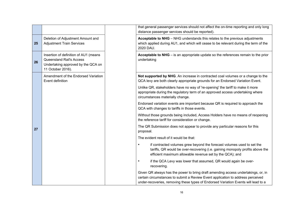|    |                                                                                                                                     | that general passenger services should not affect the on-time reporting and only long<br>distance passenger services should be reported).                                                                                                                  |
|----|-------------------------------------------------------------------------------------------------------------------------------------|------------------------------------------------------------------------------------------------------------------------------------------------------------------------------------------------------------------------------------------------------------|
| 25 | Deletion of Adjustment Amount and<br><b>Adjustment Train Services</b>                                                               | Acceptable to NHG - NHG understands this relates to the previous adjustments<br>which applied during AU1, and which will cease to be relevant during the term of the<br>2020 DAU.                                                                          |
| 26 | Insertion of definition of AU1 (means<br><b>Queensland Rail's Access</b><br>Undertaking approved by the QCA on<br>11 October 2016). | Acceptable to NHG - is an appropriate update so the references remain to the prior<br>undertaking                                                                                                                                                          |
|    | Amendment of the Endorsed Variation<br>Event definition                                                                             | Not supported by NHG. An increase in contracted coal volumes or a change to the<br>QCA levy are both clearly appropriate grounds for an Endorsed Variation Event.                                                                                          |
|    |                                                                                                                                     | Unlike QR, stakeholders have no way of 're-opening' the tariff to make it more<br>appropriate during the regulatory term of an approved access undertaking where<br>circumstances materially change.                                                       |
|    |                                                                                                                                     | Endorsed variation events are important because QR is required to approach the<br>QCA with changes to tariffs in those events.                                                                                                                             |
|    |                                                                                                                                     | Without those grounds being included, Access Holders have no means of reopening<br>the reference tariff for consideration or change.                                                                                                                       |
| 27 |                                                                                                                                     | The QR Submission does not appear to provide any particular reasons for this<br>proposal.                                                                                                                                                                  |
|    |                                                                                                                                     | The evident result of it would be that:                                                                                                                                                                                                                    |
|    |                                                                                                                                     | if contracted volumes grew beyond the forecast volumes used to set the<br>$\bullet$<br>tariffs, QR would be over-recovering (i.e. gaining monopoly profits above the<br>efficient maximum allowable revenue set by the QCA); and                           |
|    |                                                                                                                                     | if the QCA Levy was lower that assumed, QR would again be over-<br>$\bullet$<br>recovering.                                                                                                                                                                |
|    |                                                                                                                                     | Given QR always has the power to bring draft amending access undertakings, or, in<br>certain circumstances to submit a Review Event application to address perceived<br>under-recoveries, removing these types of Endorsed Variation Events will lead to a |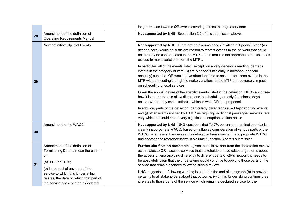|    |                                                                                                                                         | long term bias towards QR over-recovering across the regulatory term.                                                                                                                                                                                                                                                                                                                                                                  |
|----|-----------------------------------------------------------------------------------------------------------------------------------------|----------------------------------------------------------------------------------------------------------------------------------------------------------------------------------------------------------------------------------------------------------------------------------------------------------------------------------------------------------------------------------------------------------------------------------------|
| 28 | Amendment of the definition of<br><b>Operating Requirements Manual</b>                                                                  | Not supported by NHG. See section 2.2 of this submission above.                                                                                                                                                                                                                                                                                                                                                                        |
| 29 | New definition: Special Events                                                                                                          | Not supported by NHG. There are no circumstances in which a 'Special Event' (as<br>defined here) would be sufficient reason to restrict access to the network that could<br>not already be contemplated in the MTP - such that it is not appropriate to exist as an<br>excuse to make variations from the MTPs.                                                                                                                        |
|    |                                                                                                                                         | In particular, all of the events listed (except, on a very generous reading, perhaps<br>events in the category of item (j)) are planned sufficiently in advance (or occur<br>annually) such that QR would have abundant time to account for these events in the<br>MTP without needing the right to make variations to the MTP that adversely impact<br>on scheduling of coal services.                                                |
|    |                                                                                                                                         | Given the annual nature of the specific events listed in the definition, NHG cannot see<br>how it is appropriate to allow disruptions to scheduling on only 2 business days'<br>notice (without any consultation) – which is what QR has proposed.                                                                                                                                                                                     |
|    |                                                                                                                                         | In addition, parts of the definition (particularly paragraphs (i) - Major sporting events<br>and (j) other events notified by DTMR as requiring additional passenger services) are<br>very wide and could create very significant disruptions at late notice.                                                                                                                                                                          |
| 30 | Amendment to the WACC                                                                                                                   | Not supported by NHG. NHG considers that 7.47% per annum nominal post-tax is a<br>clearly inappropriate WACC, based on a flawed consideration of various parts of the<br>WACC parameters. Please see the detailed submissions on the appropriate WACC<br>and approach to reference tariffs in Volume 1, section 8 of this submission.                                                                                                  |
| 31 | Amendment of the definition of<br>Terminating Date to mean the earlier<br>of:<br>(a) 30 June 2025;<br>(b) in respect of any part of the | <b>Further clarification preferable</b> $-$ given that it is evident from the declaration review<br>as it relates to QR's access services that stakeholders have raised arguments about<br>the access criteria applying differently to different parts of QR's network, it needs to<br>be absolutely clear that the undertaking would continue to apply to those parts of the<br>service that remain declared following such a review. |
|    | service to which this Undertaking<br>relates, the date on which that part of<br>the service ceases to be a declared                     | NHG suggests the following wording is added to the end of paragraph (b) to provide<br>certainty to all stakeholders about that outcome: (with this Undertaking continuing as<br>it relates to those parts of the service which remain a declared service for the                                                                                                                                                                       |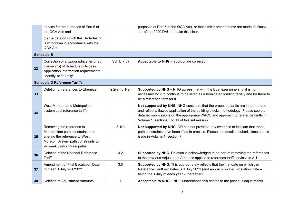|    | service for the purposes of Part 5 of<br>the QCA Act; and<br>(c) the date on which this Undertaking<br>is withdrawn in accordance with the<br>QCA Act.                 |                     | purposes of Part 5 of the QCA Act), or that similar amendments are made to clause<br>1.1 of the 2020 DAU to make this clear.                                                                                                                                                                                  |
|----|------------------------------------------------------------------------------------------------------------------------------------------------------------------------|---------------------|---------------------------------------------------------------------------------------------------------------------------------------------------------------------------------------------------------------------------------------------------------------------------------------------------------------|
|    | <b>Schedule B</b>                                                                                                                                                      |                     |                                                                                                                                                                                                                                                                                                               |
| 32 | Correction of a typographical error at<br>clause 7(b) of Schedule B Access<br>Application information requirements.<br>'Identify' to 'identity'.                       | Sch B $7(b)$        | Acceptable to NHG - appropriate correction                                                                                                                                                                                                                                                                    |
|    | <b>Schedule D Reference Tariffs</b>                                                                                                                                    |                     |                                                                                                                                                                                                                                                                                                               |
| 33 | Deletion of references to Ebenezer                                                                                                                                     | $2.2(a)$ , $3.1(e)$ | Supported by NHG - NHG agrees that with the Ebenezer mine shut it is not<br>necessary for it to continue to be listed as a nominated loading facility and for there to<br>be a reference tariff for it.                                                                                                       |
| 34 | West Moreton and Metropolitan<br>system coal reference tariffs                                                                                                         |                     | Not supported by NHG. NHG considers that the proposed tariffs are inappropriate<br>and reflect a flawed application of the building blocks methodology. Please see the<br>detailed submissions on the appropriate WACC and approach to reference tariffs in<br>Volume 1, sections 5 to 11 of this submission. |
| 35 | Removing the reference to<br>Metropolitan path constraints and<br>altering the reference to West<br>Moreton System path constraints to<br>97 weekly return train paths | 3.1(f)              | Not supported by NHG. QR has not provided any evidence to indicate that these<br>path constraints have been lifted in practice. Please see detailed submissions on this<br>issue in Volume 1, section 7.                                                                                                      |
| 36 | Deletion of the Notional Reference<br><b>Tariff</b>                                                                                                                    | 3.2                 | Supported by NHG. Deletion is acknowledged to be part of removing the references<br>to the previous Adjustment Amounts applied to reference tariff services in AU1.                                                                                                                                           |
| 37 | Amendment of First Escalation Date<br>to mean 1 July 20172021                                                                                                          | 3.3                 | Supported by NHG. This appropriately reflects that the first date on which the<br>Reference Tariff escalates is 1 July 2021 (and annually on the Escalation Date -<br>being the 1 July of each year - thereafter).                                                                                            |
| 38 | Deletion of Adjustment Amounts                                                                                                                                         | 7                   | <b>Acceptable to NHG</b> – NHG understands this relates to the previous adjustments                                                                                                                                                                                                                           |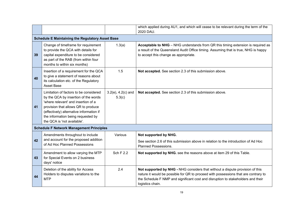|    |                                                                                                                                                                                                                                                                               |                                   | which applied during AU1, and which will cease to be relevant during the term of the<br>2020 DAU.                                                                                                                                                                            |
|----|-------------------------------------------------------------------------------------------------------------------------------------------------------------------------------------------------------------------------------------------------------------------------------|-----------------------------------|------------------------------------------------------------------------------------------------------------------------------------------------------------------------------------------------------------------------------------------------------------------------------|
|    | <b>Schedule E Maintaining the Regulatory Asset Base</b>                                                                                                                                                                                                                       |                                   |                                                                                                                                                                                                                                                                              |
| 39 | Change of timeframe for requirement<br>to provide the QCA with details for<br>capital expenditure to be considered<br>as part of the RAB (from within four<br>months to within six months)                                                                                    | 1.3(a)                            | Acceptable to NHG - NHG understands from QR this timing extension is required as<br>a result of the Queensland Audit Office timing. Assuming that is true, NHG is happy<br>to accept this change as appropriate.                                                             |
| 40 | Insertion of a requirement for the QCA<br>to give a statement of reasons about<br>its calculation etc. of the Regulatory<br><b>Asset Base</b>                                                                                                                                 | 1.5                               | Not accepted. See section 2.3 of this submission above.                                                                                                                                                                                                                      |
| 41 | Limitation of factors to be considered<br>by the QCA by insertion of the words<br>'where relevant' and insertion of a<br>provision that allows QR to produce<br>(effectively) alternative information if<br>the information being requested by<br>the QCA is 'not available'. | $3.2(e)$ , $4.2(c)$ and<br>5.3(c) | Not accepted. See section 2.3 of this submission above.                                                                                                                                                                                                                      |
|    | <b>Schedule F Network Management Principles</b>                                                                                                                                                                                                                               |                                   |                                                                                                                                                                                                                                                                              |
|    | Amendments throughout to include                                                                                                                                                                                                                                              | Various                           | Not supported by NHG.                                                                                                                                                                                                                                                        |
| 42 | and account for the proposed addition<br>of Ad Hoc Planned Possessions                                                                                                                                                                                                        |                                   | See section 2.6 of this submission above in relation to the introduction of Ad Hoc<br><b>Planned Possessions.</b>                                                                                                                                                            |
| 43 | Amendment to allow varying the MTP<br>for Special Events on 2 business<br>days' notice                                                                                                                                                                                        | Sch F 2.2                         | Not supported by NHG. see the reasons above at item 29 of this Table.                                                                                                                                                                                                        |
| 44 | Deletion of the ability for Access<br>Holders to disputes variations to the<br><b>MTP</b>                                                                                                                                                                                     | 2.4                               | Not supported by NHG - NHG considers that without a dispute provision of this<br>nature it would be possible for QR to proceed with possessions that are contrary to<br>the Schedule F NMP and significant cost and disruption to stakeholders and their<br>logistics chain. |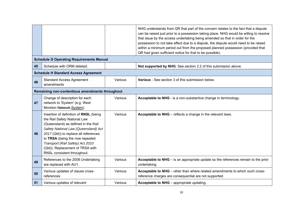|    |                                                                                                                                                                                                                                                                                                                                          |         | NHG understands from QR that part of the concern relates to the fact that a dispute<br>can be raised just prior to a possession taking place. NHG would be willing to resolve<br>that issue by the access undertaking being amended so that in order for the<br>possession to not take effect due to a dispute, the dispute would need to be raised<br>within a minimum period out from the proposed planned possession (provided that<br>QR had given sufficient notice for that to be possible). |  |  |  |  |  |
|----|------------------------------------------------------------------------------------------------------------------------------------------------------------------------------------------------------------------------------------------------------------------------------------------------------------------------------------------|---------|----------------------------------------------------------------------------------------------------------------------------------------------------------------------------------------------------------------------------------------------------------------------------------------------------------------------------------------------------------------------------------------------------------------------------------------------------------------------------------------------------|--|--|--|--|--|
|    | <b>Schedule G Operating Requirements Manual</b>                                                                                                                                                                                                                                                                                          |         |                                                                                                                                                                                                                                                                                                                                                                                                                                                                                                    |  |  |  |  |  |
| 45 | Schedule with ORM deleted.                                                                                                                                                                                                                                                                                                               |         | Not supported by NHG. See section 2.2 of this submission above.                                                                                                                                                                                                                                                                                                                                                                                                                                    |  |  |  |  |  |
|    | <b>Schedule H Standard Access Agreement</b>                                                                                                                                                                                                                                                                                              |         |                                                                                                                                                                                                                                                                                                                                                                                                                                                                                                    |  |  |  |  |  |
| 46 | <b>Standard Access Agreement</b><br>amendments                                                                                                                                                                                                                                                                                           | Various | Various - See section 3 of this submission below.                                                                                                                                                                                                                                                                                                                                                                                                                                                  |  |  |  |  |  |
|    | Remaining non-contentious amendments throughout                                                                                                                                                                                                                                                                                          |         |                                                                                                                                                                                                                                                                                                                                                                                                                                                                                                    |  |  |  |  |  |
| 47 | Change of description for each<br>network to 'System' (e.g. West<br>Moreton Network System).                                                                                                                                                                                                                                             | Various | Acceptable to NHG - is a non-substantive change in terminology.                                                                                                                                                                                                                                                                                                                                                                                                                                    |  |  |  |  |  |
| 48 | Insertion of definition of RNSL (being<br>the Rail Safety National Law<br>(Queensland) as defined in the Rail<br>Safety National Law (Queensland) Act<br>2017 (Qld)) to replace all references<br>to TRSA (being the now repealed<br>Transport (Rail Safety) Act 2010<br>(Qld)). Replacement of TRSA with<br>RNSL consistent throughout. | Various | Acceptable to NHG - reflects a change in the relevant laws.                                                                                                                                                                                                                                                                                                                                                                                                                                        |  |  |  |  |  |
| 49 | References to the 2008 Undertaking<br>are replaced with AU1.                                                                                                                                                                                                                                                                             | Various | Acceptable to NHG - is an appropriate update so the references remain to the prior<br>undertaking.                                                                                                                                                                                                                                                                                                                                                                                                 |  |  |  |  |  |
| 50 | Various updates of clause cross-<br>references                                                                                                                                                                                                                                                                                           | Various | Acceptable to NHG - other than where related amendments to which such cross-<br>reference charges are consequential are not supported.                                                                                                                                                                                                                                                                                                                                                             |  |  |  |  |  |
| 51 | Various updates of relevant                                                                                                                                                                                                                                                                                                              | Various | Acceptable to NHG - appropriate updating.                                                                                                                                                                                                                                                                                                                                                                                                                                                          |  |  |  |  |  |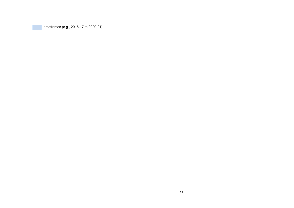| . המפר<br>ົດ 4<br>ົົາ16-                       |  |
|------------------------------------------------|--|
| timetrames<br>īΟ<br>ZUZU<br>--<br>.<br>$\cdot$ |  |
|                                                |  |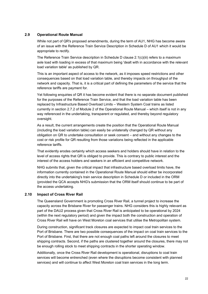# **2.9 Operational Route Manual**

While not part of QR's proposed amendments, during the term of AU1, NHG has become aware of an issue with the Reference Train Service Description in Schedule D of AU1 which it would be appropriate to rectify.

The Reference Train Service description in Schedule D clause 2.1(c)(iii) refers to a maximum axle load with loading in excess of that maximum being 'dealt with in accordance with the relevant load variation table' as published by QR.

This is an important aspect of access to the network, as it imposes speed restrictions and other consequences based on that load variation table, and thereby impacts on throughput of the network and capacity. That is, it is a critical part of defining the parameters of the service that the reference tariffs are payment for.

Yet following enquiries of QR it has become evident that there is no separate document published for the purposes of the Reference Train Service, and that the load variation table has been replaced by Infrastructure Based Overload Limits – Western System Coal trains as listed currently in section 2.7.2 of Module 2 of the Operational Route Manual – which itself is not in any way referenced in the undertaking, transparent or regulated, and thereby beyond regulatory oversight.

As a result, the current arrangements create the position that the Operational Route Manual (including the load variation table) can easily be unilaterally changed by QR without any obligation on QR to undertake consultation or seek consent – and without any changes to the cost or risk profile for QR resulting from those variations being reflected in the applicable reference tariffs.

That evidently erodes certainty which access seekers and holders should have in relation to the level of access rights that QR is obliged to provide. This is contrary to public interest and the interest of the access holders and seekers in an efficient and competitive network.

NHG submits that, given the critical impact that infrastructure based overload limits have, the information currently contained in the Operational Route Manual should either be incorporated directly into the undertaking's train service description in Schedule D or included in the ORM (provided the QCA accepts NHG's submission that the ORM itself should continue to be part of the access undertaking.

#### **2.10 Impact of Cross River Rail**

The Queensland Government is promoting Cross River Rail, a tunnel project to increase the capacity across the Brisbane River for passenger trains. NHG considers this is highly relevant as part of the DAU2 process given that Cross River Rail is anticipated to be operational by 2024 (within the next regulatory period) and given the impact both the construction and operation of Cross River Rail will have on West Moreton coal services that utilise the Metropolitan system.

During construction, significant track closures are expected to impact coal train services to the Port of Brisbane. There are two possible consequences of the impact on coal train services to the Port of Brisbane. First, that there are not enough coal paths left around the closures to meet shipping contracts. Second, if the paths are clustered together around the closures, there may not be enough rolling stock to meet shipping contracts in the shorter operating window.

Additionally, once the Cross River Rail development is operational, disruptions to coal train services will become entrenched (even where the disruptions become consistent with planned services) and will continue to affect West Moreton coal train services in the long term.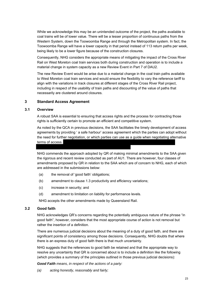While we acknowledge this may be an unintended outcome of the project, the paths available to coal trains will be of lower value. There will be a lesser proportion of continuous paths from the Western System, down the Toowoomba Range and through the Metropolitan system. In fact, the Toowoomba Range will have a lower capacity in that period instead of 113 return paths per week, being likely to be a lower figure because of the construction closures.

Consequently, NHG considers the appropriate means of mitigating the impact of the Cross River Rail on West Moreton coal train services both during construction and operation is to include a material change in system capacity as a new Review Event in Part 7 of DAU2.

The new Review Event would be arise due to a material change in the coal train paths available to West Moreton coal train services and would ensure the flexibility to vary the reference tariff to align with the variations in track closures at different stages of the Cross River Rail project, including in respect of the usability of train paths and discounting of the value of paths that necessarily are clustered around closures.

# **3 Standard Access Agreement**

#### **3.1 Overview**

A robust SAA is essential to ensuring that access rights and the process for contracting those rights is sufficiently certain to promote an efficient and competitive system.

As noted by the QCA in previous decisions, the SAA facilitates the timely development of access agreements by providing ' a safe harbour' access agreement which the parties can adopt without the need for further negotiation, or which parties can use as a guide when negotiating alternative terms of access.

NHG commends the approach adopted by QR of making minimal amendments to the SAA given the rigorous and recent review conducted as part of AU1. There are however, four classes of amendments proposed by QR in relation to the SAA which are of concern to NHG, each of which are addressed in the submissions below:

- (a) the removal of 'good faith' obligations;
- (b) amendment to clause 1.3 productivity and efficiency variations;
- (c) increase in security; and
- (d) amendment to limitation on liability for performance levels.

NHG accepts the other amendments made by Queensland Rail.

#### **3.2 Good faith**

NHG acknowledges QR's concerns regarding the potentially ambiguous nature of the phrase "in good faith", however, considers that the most appropriate course of action is not removal but rather the insertion of a definition.

There are numerous judicial decisions about the meaning of a duty of good faith, and there are significant points of consistency among those decisions. Consequently, NHG doubts that where there is an express duty of good faith there is that much uncertainty.

NHG suggests that the references to good faith be retained and that the appropriate way to resolve any uncertainty that QR is concerned about is to include a definition like the following (which provides a summary of the principles outlined in those previous judicial decisions):

*Good Faith means, in respect of the actions of a party:* 

*(a) acting honestly, reasonably and fairly;*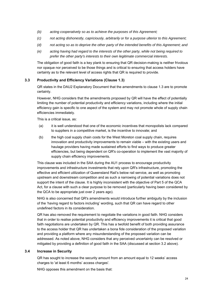- *(b) acting cooperatively so as to achieve the purposes of this Agreement;*
- *(c) not acting dishonestly, capriciously, arbitrarily or for a purpose ulterior to this Agreement;*
- *(d) not acting so as to deprive the other party of the intended benefits of this Agreement; and*
- *(e) acting having had regard to the interests of the other party, while not being required to prefer the other party's interests to their own legitimate commercial interests.*

The obligation of good faith is a key plank to ensuring that QR decision-making is neither frivolous nor opaque nor perceived to be those things and is critical to ensuring that access holders have certainty as to the relevant level of access rights that QR is required to provide.

# **3.3 Productivity and Efficiency Variations (Clause 1.3)**

QR states in the DAU2 Explanatory Document that the amendments to clause 1.3 are to promote certainty.

However, NHG considers that the amendments proposed by QR will have the effect of potentially limiting the number of potential productivity and efficiency variations, including where the initial efficiency gain is specific to one aspect of the system and may not promote whole of supply chain efficiencies immediately.

This is a critical issue, as:

- (a) it is well understood that one of the economic incentives that monopolists lack compared to suppliers in a competitive market, is the incentive to innovate; and
- (b) the high coal supply chain costs for the West Moreton coal supply chain, requires innovation and productivity improvements to remain viable – with the existing users and haulage providers having made sustained efforts to find ways to produce greater efficiencies, but being dependent on QR's co-operation to implement the vast majority of supply chain efficiency improvements.

This clause was included in the SAA during the AU1 process to encourage productivity improvements and infrastructure investments that rely upon QR's infrastructure, promoting the effective and efficient utilization of Queensland Rail's below rail service, as well as promoting upstream and downstream competition and as such a narrowing of potential variations does not support the intent of the clause. It is highly inconsistent with the objective of Part 5 of the QCA Act, for a clause with such a clear purpose to be removed (particularly having been considered by the QCA to be appropriate just over 2 years ago).

NHG is also concerned that QR's amendments would introduce further ambiguity by the inclusion of the 'having regard to factors including' wording, such that QR can have regard to other undefined factors in its consideration.

QR has also removed the requirement to negotiate the variations in good faith. NHG considers that in order to realise potential productivity and efficiency improvements it is critical that good faith negotiations are undertaken by QR. This has a twofold benefit of both providing assurance to the access holder that QR has undertaken a bona fide consideration of the proposed variation and providing a platform where any misunderstanding of the proposed variation can be addressed. As noted above, NHG considers that any perceived uncertainty can be resolved or mitigated by providing a definition of good faith in the SAA (discussed at section 3.2 above).

#### **3.4 Increase in Security**

QR has sought to increase the security amount from an amount equal to 12 weeks' access charges to 'at least 6 months' access charges'.

NHG opposes this amendment on the basis that: